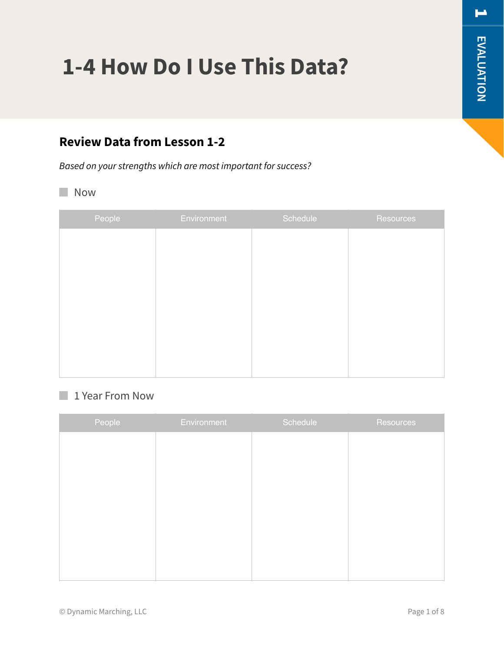$\blacksquare$ 

# **1-4 How Do I Use This Data?**

### **Review Data from Lesson 1-2**

*Based on your strengths which are most important for success?* 

#### **Now**

| People | Environment | Schedule | Resources |
|--------|-------------|----------|-----------|
|        |             |          |           |
|        |             |          |           |
|        |             |          |           |
|        |             |          |           |
|        |             |          |           |
|        |             |          |           |
|        |             |          |           |
|        |             |          |           |

#### **1** Year From Now

| People | Environment | Schedule | Resources |
|--------|-------------|----------|-----------|
|        |             |          |           |
|        |             |          |           |
|        |             |          |           |
|        |             |          |           |
|        |             |          |           |
|        |             |          |           |
|        |             |          |           |
|        |             |          |           |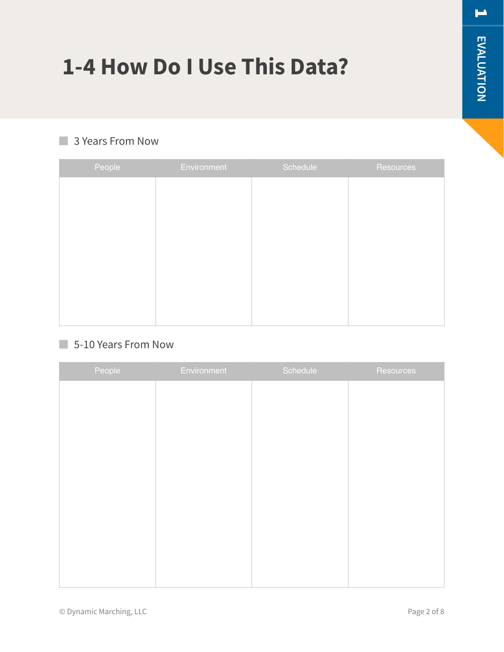$\blacktriangleright$ 

# **1-4 How Do I Use This Data?**

### **3 Years From Now**

| People | Environment | Schedule | Resources |
|--------|-------------|----------|-----------|
|        |             |          |           |
|        |             |          |           |
|        |             |          |           |
|        |             |          |           |
|        |             |          |           |
|        |             |          |           |
|        |             |          |           |
|        |             |          |           |

### 5-10 Years From Now

| People | Environment | Schedule | Resources |
|--------|-------------|----------|-----------|
|        |             |          |           |
|        |             |          |           |
|        |             |          |           |
|        |             |          |           |
|        |             |          |           |
|        |             |          |           |
|        |             |          |           |
|        |             |          |           |
|        |             |          |           |
|        |             |          |           |
|        |             |          |           |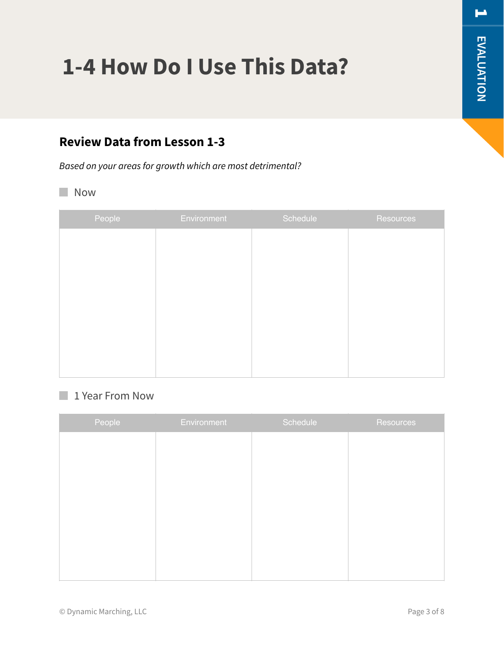$\blacksquare$ 

# **1-4 How Do I Use This Data?**

### **Review Data from Lesson 1-3**

*Based on your areas for growth which are most detrimental?*

#### **Now**

| People | Environment | Schedule | Resources |
|--------|-------------|----------|-----------|
|        |             |          |           |
|        |             |          |           |
|        |             |          |           |
|        |             |          |           |
|        |             |          |           |
|        |             |          |           |
|        |             |          |           |
|        |             |          |           |

#### **1** Year From Now

| People | Environment | Schedule | Resources |
|--------|-------------|----------|-----------|
|        |             |          |           |
|        |             |          |           |
|        |             |          |           |
|        |             |          |           |
|        |             |          |           |
|        |             |          |           |
|        |             |          |           |
|        |             |          |           |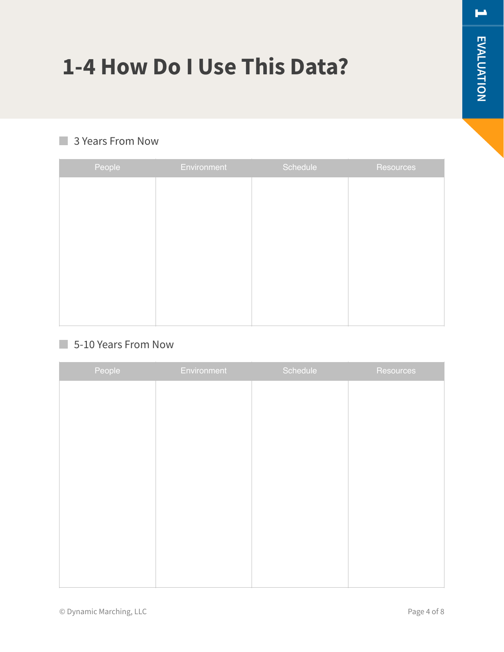$\blacktriangleright$ 

# **1-4 How Do I Use This Data?**

### **3 Years From Now**

| People | Environment | Schedule | Resources |
|--------|-------------|----------|-----------|
|        |             |          |           |
|        |             |          |           |
|        |             |          |           |
|        |             |          |           |
|        |             |          |           |
|        |             |          |           |
|        |             |          |           |
|        |             |          |           |

### 5-10 Years From Now

| People | Environment | Schedule | Resources |
|--------|-------------|----------|-----------|
|        |             |          |           |
|        |             |          |           |
|        |             |          |           |
|        |             |          |           |
|        |             |          |           |
|        |             |          |           |
|        |             |          |           |
|        |             |          |           |
|        |             |          |           |
|        |             |          |           |
|        |             |          |           |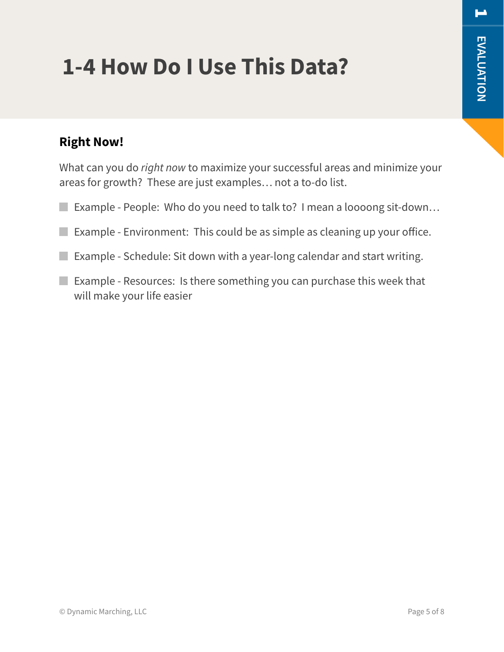$\blacktriangleright$ 

# **1-4 How Do I Use This Data?**

## **Right Now!**

What can you do *right now* to maximize your successful areas and minimize your areas for growth? These are just examples… not a to-do list.

■ Example - People: Who do you need to talk to? I mean a loooong sit-down...

Example - Environment: This could be as simple as cleaning up your office.

- Example Schedule: Sit down with a year-long calendar and start writing.
- Example Resources: Is there something you can purchase this week that will make your life easier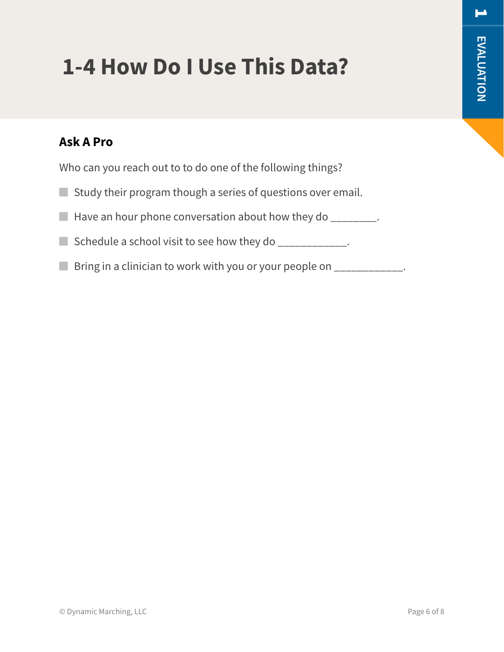# **1-4 How Do I Use This Data?**

### **Ask A Pro**

Who can you reach out to to do one of the following things?

- $\blacksquare$  Study their program though a series of questions over email.
- Have an hour phone conversation about how they do \_\_\_\_\_\_\_\_.  $\mathcal{L}_{\mathcal{A}}$
- Schedule a school visit to see how they do \_\_\_\_\_\_\_\_\_\_\_\_. ш
- Bring in a clinician to work with you or your people on \_\_\_\_\_\_\_\_\_\_\_.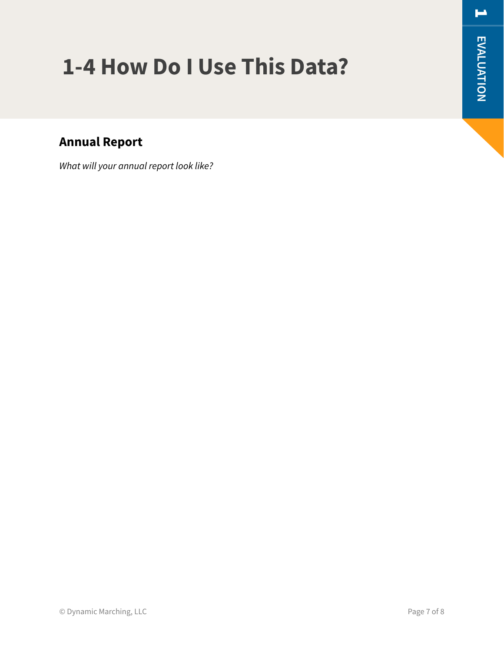## **1-4 How Do I Use This Data?**

## **Annual Report**

*What will your annual report look like?* 

 $\blacktriangleright$